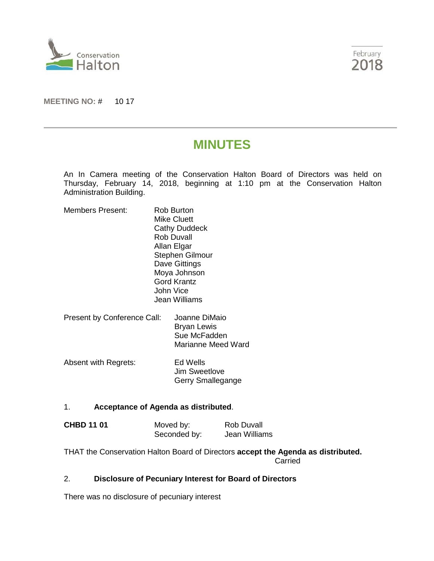



**MEETING NO:** # 10 17

## **MINUTES**

An In Camera meeting of the Conservation Halton Board of Directors was held on Thursday, February 14, 2018, beginning at 1:10 pm at the Conservation Halton Administration Building.

| <b>Members Present:</b>     | Rob Burton<br>Mike Cluett<br><b>Cathy Duddeck</b><br>Rob Duvall<br>Allan Elgar<br><b>Stephen Gilmour</b><br>Dave Gittings<br>Moya Johnson<br>Gord Krantz<br>John Vice<br>Jean Williams |                                                     |
|-----------------------------|----------------------------------------------------------------------------------------------------------------------------------------------------------------------------------------|-----------------------------------------------------|
| Present by Conference Call: |                                                                                                                                                                                        | Joanne DiMaio<br><b>Bryan Lewis</b><br>Sue McFadden |

Absent with Regrets: Ed Wells Jim Sweetlove Gerry Smallegange

## 1. **Acceptance of Agenda as distributed**.

| <b>CHBD 11 01</b> | Moved by:    | Rob Duvall    |
|-------------------|--------------|---------------|
|                   | Seconded by: | Jean Williams |

THAT the Conservation Halton Board of Directors **accept the Agenda as distributed.** Carried

Marianne Meed Ward

## 2. **Disclosure of Pecuniary Interest for Board of Directors**

There was no disclosure of pecuniary interest